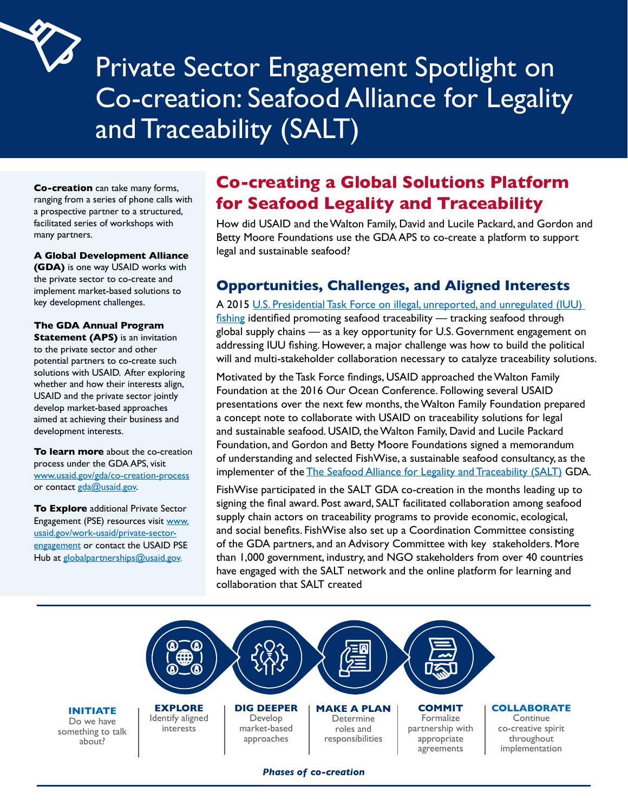# Private Sector Engagement Spotlight on Co-creation: Seafood Alliance for Legality and Traceability (SALT)

**Co-creation** can take many forms, ranging from a series of phone calls with a prospective partner to a structured, facilitated series of workshops with many partners.

#### **A Global Development Alliance**

 key development challenges. **(GDA)** is one way USAID works with the private sector to co-create and implement market-based solutions to

#### **The GDA Annual Program**

 solutions with USAID. After exploring **Statement (APS)** is an invitation to the private sector and other potential partners to co-create such whether and how their interests align, USAID and the private sector jointly develop market-based approaches aimed at achieving their business and development interests.

www.usaid.gov/gda/co-creation-process<br>or contact <u>gda@usaid.gov</u>. **To learn more** about the co-creation process under the GDA APS, visit

**To Explore** additional Private Sector Engagement (PSE) resources visit www. usaid.gov/work-usaid/private-sectorengagement or contact the USAID PSE Hub at globalpartnerships@usaid.gov.

## **Co-creating a Global Solutions Platform for Seafood Legality and Traceability**

How did USAID and the Walton Family, David and Lucile Packard, and Gordon and Betty Moore Foundations use the GDA APS to co-create a platform to support legal and sustainable seafood?

### **Opportunities, Challenges, and Aligned Interests**

A 2015 [U.S. Presidential Task Force on illegal, unreported, and unregulated \(IUU\)](https://www.fisheries.noaa.gov/national/international-affairs/us-government-task-force-combating-illegal-unreported-and)  [fishing](https://www.fisheries.noaa.gov/national/international-affairs/us-government-task-force-combating-illegal-unreported-and) identified promoting seafood traceability — tracking seafood through global supply chains — as a key opportunity for U.S. Government engagement on addressing IUU fishing. However, a major challenge was how to build the political will and multi-stakeholder collaboration necessary to catalyze traceability solutions.

Motivated by the Task Force findings, USAID approached the Walton Family Foundation at the 2016 Our Ocean Conference. Following several USAID presentations over the next few months, the Walton Family Foundation prepared a concept note to collaborate with USAID on traceability solutions for legal and sustainable seafood. USAID, the Walton Family, David and Lucile Packard Foundation, and Gordon and Betty Moore Foundations signed a memorandum of understanding and selected FishWise, a sustainable seafood consultancy, as the implementer of the [The Seafood Alliance for Legality and Traceability \(SALT\)](https://www.salttraceability.org) GDA.

FishWise participated in the SALT GDA co-creation in the months leading up to signing the final award. Post award, SALT facilitated collaboration among seafood supply chain actors on traceability programs to provide economic, ecological, and social benefits. FishWise also set up a Coordination Committee consisting of the GDA partners, and an Advisory Committee with key stakeholders. More than 1,000 government, industry, and NGO stakeholders from over 40 countries have engaged with the SALT network and the online platform for learning and collaboration that SALT created